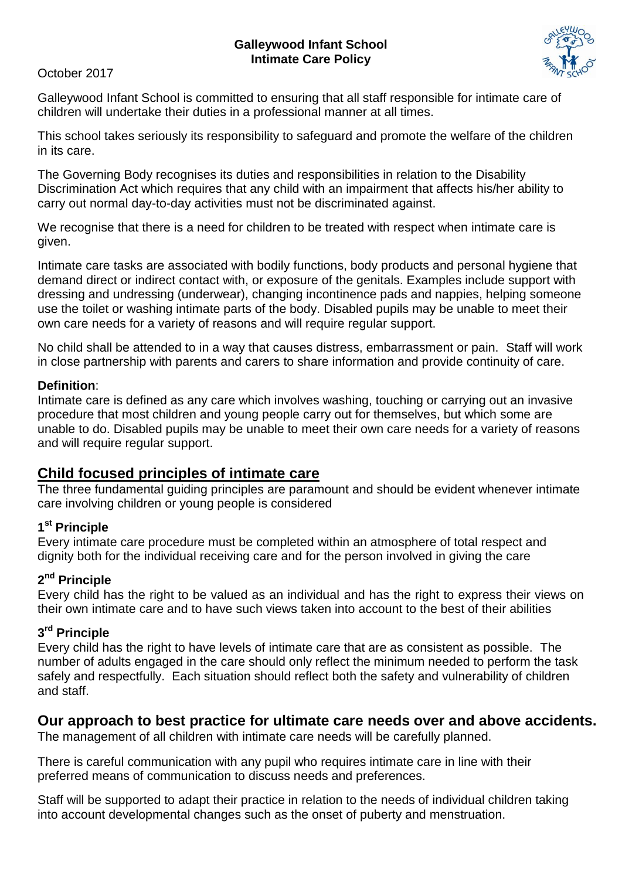#### **Galleywood Infant School Intimate Care Policy**

October 2017



Galleywood Infant School is committed to ensuring that all staff responsible for intimate care of children will undertake their duties in a professional manner at all times.

This school takes seriously its responsibility to safeguard and promote the welfare of the children in its care.

The Governing Body recognises its duties and responsibilities in relation to the Disability Discrimination Act which requires that any child with an impairment that affects his/her ability to carry out normal day-to-day activities must not be discriminated against.

We recognise that there is a need for children to be treated with respect when intimate care is given.

Intimate care tasks are associated with bodily functions, body products and personal hygiene that demand direct or indirect contact with, or exposure of the genitals. Examples include support with dressing and undressing (underwear), changing incontinence pads and nappies, helping someone use the toilet or washing intimate parts of the body. Disabled pupils may be unable to meet their own care needs for a variety of reasons and will require regular support.

No child shall be attended to in a way that causes distress, embarrassment or pain. Staff will work in close partnership with parents and carers to share information and provide continuity of care.

### **Definition**:

Intimate care is defined as any care which involves washing, touching or carrying out an invasive procedure that most children and young people carry out for themselves, but which some are unable to do. Disabled pupils may be unable to meet their own care needs for a variety of reasons and will require regular support.

# **Child focused principles of intimate care**

The three fundamental guiding principles are paramount and should be evident whenever intimate care involving children or young people is considered

# **1 st Principle**

Every intimate care procedure must be completed within an atmosphere of total respect and dignity both for the individual receiving care and for the person involved in giving the care

# **2 nd Principle**

Every child has the right to be valued as an individual and has the right to express their views on their own intimate care and to have such views taken into account to the best of their abilities

# **3 rd Principle**

Every child has the right to have levels of intimate care that are as consistent as possible. The number of adults engaged in the care should only reflect the minimum needed to perform the task safely and respectfully. Each situation should reflect both the safety and vulnerability of children and staff.

# **Our approach to best practice for ultimate care needs over and above accidents.**

The management of all children with intimate care needs will be carefully planned.

There is careful communication with any pupil who requires intimate care in line with their preferred means of communication to discuss needs and preferences.

Staff will be supported to adapt their practice in relation to the needs of individual children taking into account developmental changes such as the onset of puberty and menstruation.